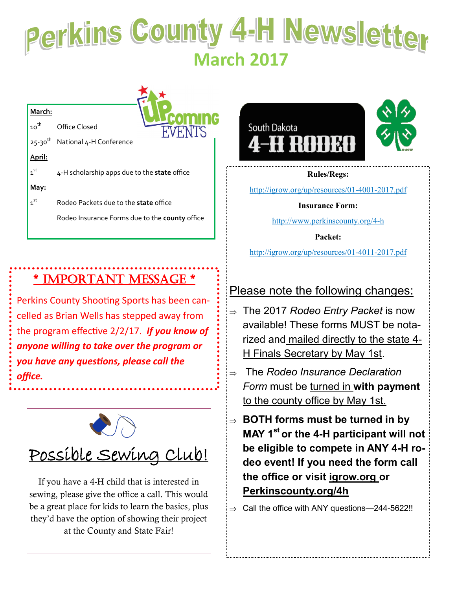# **Perkins County 4-H Newsletter**

## **March:**

10<sup>th</sup> Office Closed

25-30<sup>th</sup> National 4-H Conference

**April:**

 $1<sup>st</sup>$ 4-H scholarship apps due to the state office **May:** 

 $1<sup>st</sup>$ st Rodeo Packets due to the **state** office Rodeo Insurance Forms due to the **county** office

## \* IMPORTANT MESSAGE \*

Perkins County Shooting Sports has been cancelled as Brian Wells has stepped away from the program effective 2/2/17. *If you know of anyone willing to take over the program or you have any questions, please call the office.*



If you have a 4-H child that is interested in sewing, please give the office a call. This would be a great place for kids to learn the basics, plus they'd have the option of showing their project at the County and State Fair!



#### **Rules/Regs:**

[http://igrow.org/up/resources/01](http://igrow.org/up/resources/01-4001-2017.pdf)-4001-2017.pdf

## **Insurance Form:**

http://www.perkinscounty.org/4-h

**Packet:** 

http://igrow.org/up/resources/01-4011-2017.pdf

## Please note the following changes:

- The 2017 *Rodeo Entry Packet* is now available! These forms MUST be notarized and mailed directly to the state 4- H Finals Secretary by May 1st.
- The *Rodeo Insurance Declaration Form* must be turned in **with payment** to the county office by May 1st.
- **BOTH forms must be turned in by MAY 1st or the 4-H participant will not be eligible to compete in ANY 4-H rodeo event! If you need the form call the office or visit igrow.org or Perkinscounty.org/4h**

 $\Rightarrow$  Call the office with ANY questions—244-5622!!